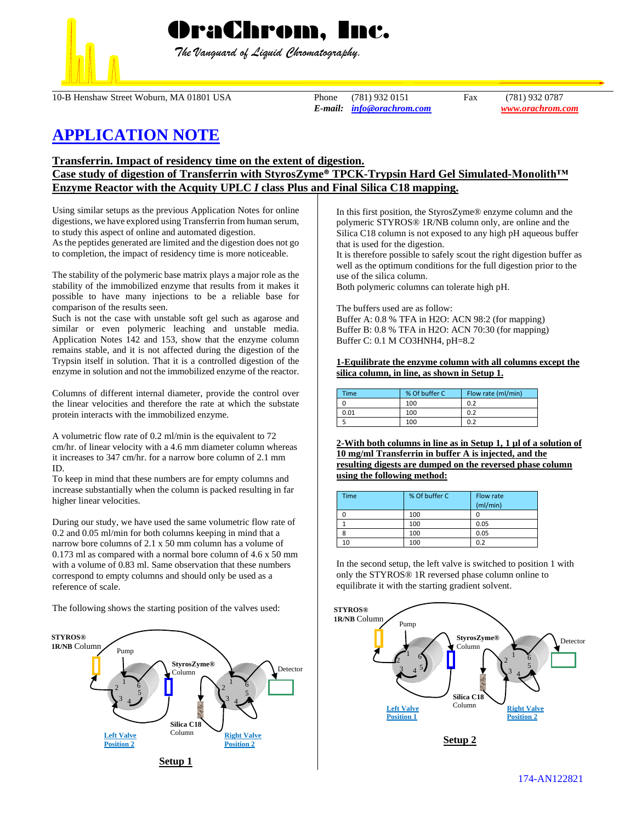

 *The Vanguard of Liquid Chromatography.*

10-B Henshaw Street Woburn, MA 01801 USA Phone (781) 932 0151 Fax (781) 932 0787

*E-mail: [info@orachrom.com](mailto:info@orachrom.com) www.orachrom.com*

# **APPLICATION NOTE**

**Transferrin. Impact of residency time on the extent of digestion.** 

## **Case study of digestion of Transferrin with StyrosZyme® TPCK-Trypsin Hard Gel Simulated-Monolith™ Enzyme Reactor with the Acquity UPLC** *I* **class Plus and Final Silica C18 mapping.**

Using similar setups as the previous Application Notes for online digestions, we have explored using Transferrin from human serum, to study this aspect of online and automated digestion.

As the peptides generated are limited and the digestion does not go to completion, the impact of residency time is more noticeable.

The stability of the polymeric base matrix plays a major role as the stability of the immobilized enzyme that results from it makes it possible to have many injections to be a reliable base for comparison of the results seen.

Such is not the case with unstable soft gel such as agarose and similar or even polymeric leaching and unstable media. Application Notes 142 and 153, show that the enzyme column remains stable, and it is not affected during the digestion of the Trypsin itself in solution. That it is a controlled digestion of the enzyme in solution and not the immobilized enzyme of the reactor.

Columns of different internal diameter, provide the control over the linear velocities and therefore the rate at which the substate protein interacts with the immobilized enzyme.

A volumetric flow rate of 0.2 ml/min is the equivalent to 72 cm/hr. of linear velocity with a 4.6 mm diameter column whereas it increases to 347 cm/hr. for a narrow bore column of 2.1 mm ID.

To keep in mind that these numbers are for empty columns and increase substantially when the column is packed resulting in far higher linear velocities.

During our study, we have used the same volumetric flow rate of 0.2 and 0.05 ml/min for both columns keeping in mind that a narrow bore columns of 2.1 x 50 mm column has a volume of 0.173 ml as compared with a normal bore column of 4.6 x 50 mm with a volume of 0.83 ml. Same observation that these numbers correspond to empty columns and should only be used as a reference of scale.

The following shows the starting position of the valves used:



In this first position, the StyrosZyme® enzyme column and the polymeric STYROS® 1R/NB column only, are online and the Silica C18 column is not exposed to any high pH aqueous buffer that is used for the digestion.

It is therefore possible to safely scout the right digestion buffer as well as the optimum conditions for the full digestion prior to the use of the silica column.

Both polymeric columns can tolerate high pH.

The buffers used are as follow:

Buffer A: 0.8 % TFA in H2O: ACN 98:2 (for mapping) Buffer B: 0.8 % TFA in H2O: ACN 70:30 (for mapping) Buffer C: 0.1 M CO3HNH4, pH=8.2

**1-Equilibrate the enzyme column with all columns except the silica column, in line, as shown in Setup 1.**

| Time | % Of buffer C | Flow rate (ml/min) |
|------|---------------|--------------------|
|      | 100           | 0.2                |
| 0.01 | 100           | 0.2                |
|      | 100           | 0.2                |

**2-With both columns in line as in Setup 1, 1 µl of a solution of 10 mg/ml Transferrin in buffer A is injected, and the resulting digests are dumped on the reversed phase column using the following method:**

| <b>Time</b> | % Of buffer C | Flow rate<br>(mI/min) |
|-------------|---------------|-----------------------|
|             | 100           |                       |
|             | 100           | 0.05                  |
|             | 100           | 0.05                  |
|             | 100           | 0.2                   |

In the second setup, the left valve is switched to position 1 with only the STYROS® 1R reversed phase column online to equilibrate it with the starting gradient solvent.